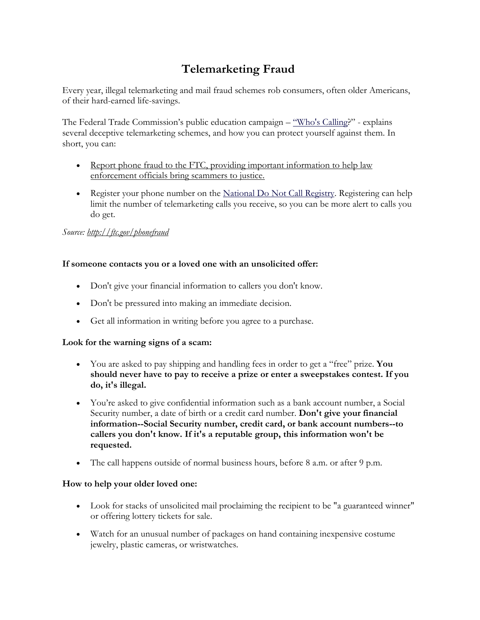# **Telemarketing Fraud**

Every year, illegal telemarketing and mail fraud schemes rob consumers, often older Americans, of their hard-earned life-savings.

The Federal Trade Commission's public education campaign – ["Who's Calling?](https://www.ftc.gov/search/site/whos%20calling)" - explains several deceptive telemarketing schemes, and how you can protect yourself against them. In short, you can:

- Report phone fraud to the FTC, providing important information to help law [enforcement officials bring scammers to justice.](https://www.ftc.gov/faq/consumer-protection/submit-consumer-complaint-ftc)
- Register your phone number on the [National Do Not Call Registry.](https://www.ftc.gov/faq/consumer-protection/list-number-national-do-not-call-registry) Registering can help limit the number of telemarketing calls you receive, so you can be more alert to calls you do get.

## *Source:<http://ftc.gov/phonefraud>*

## **If someone contacts you or a loved one with an unsolicited offer:**

- Don't give your financial information to callers you don't know.
- Don't be pressured into making an immediate decision.
- Get all information in writing before you agree to a purchase.

## **Look for the warning signs of a scam:**

- You are asked to pay shipping and handling fees in order to get a "free" prize. **You should never have to pay to receive a prize or enter a sweepstakes contest. If you do, it's illegal.**
- You're asked to give confidential information such as a bank account number, a Social Security number, a date of birth or a credit card number. **Don't give your financial information--Social Security number, credit card, or bank account numbers--to callers you don't know. If it's a reputable group, this information won't be requested.**
- The call happens outside of normal business hours, before 8 a.m. or after 9 p.m.

## **How to help your older loved one:**

- Look for stacks of unsolicited mail proclaiming the recipient to be "a guaranteed winner" or offering lottery tickets for sale.
- Watch for an unusual number of packages on hand containing inexpensive costume jewelry, plastic cameras, or wristwatches.